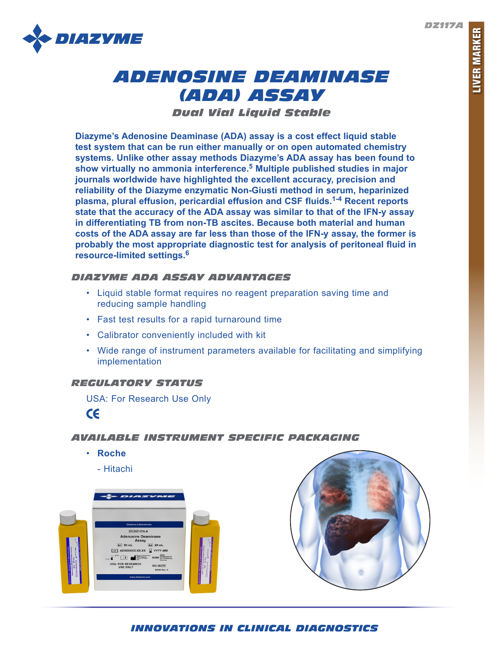*DZ117A*



# *ADENOSINE DEAMINASE (ADA) ASSAY*

*Dual Vial Liquid Stable*

**Diazyme's Adenosine Deaminase (ADA) assay is a cost effect liquid stable test system that can be run either manually or on open automated chemistry systems. Unlike other assay methods Diazyme's ADA assay has been found to show virtually no ammonia interference.5 Multiple published studies in major journals worldwide have highlighted the excellent accuracy, precision and reliability of the Diazyme enzymatic Non-Giusti method in serum, heparinized plasma, plural effusion, pericardial effusion and CSF fluids.1-4 Recent reports state that the accuracy of the ADA assay was similar to that of the IFN-y assay in differentiating TB from non-TB ascites. Because both material and human costs of the ADA assay are far less than those of the IFN-y assay, the former is probably the most appropriate diagnostic test for analysis of peritoneal fluid in resource-limited settings.6**

# *DIAZYME ADA ASSAY ADVANTAGES*

- Liquid stable format requires no reagent preparation saving time and reducing sample handling
- Fast test results for a rapid turnaround time
- Calibrator conveniently included with kit
- Wide range of instrument parameters available for facilitating and simplifying implementation

# *REGULATORY STATUS*

USA: For Research Use Only  $\epsilon$ 

# *AVAILABLE INSTRUMENT SPECIFIC PACKAGING*

- **Roche**
	- Hitachi





# *INNOVATIONS IN CLINICAL DIAGNOSTICS*